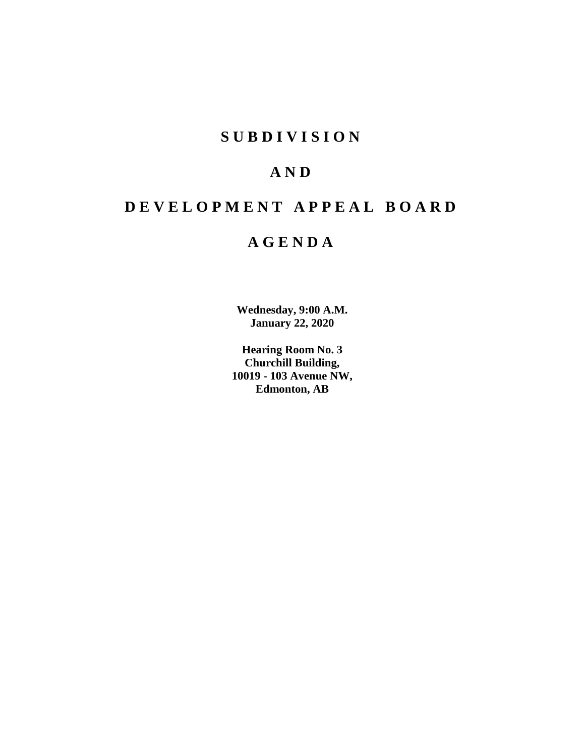# **S U B D I V I S I O N**

# **A N D**

# **D E V E L O P M E N T A P P E A L B O A R D**

# **A G E N D A**

**Wednesday, 9:00 A.M. January 22, 2020**

**Hearing Room No. 3 Churchill Building, 10019 - 103 Avenue NW, Edmonton, AB**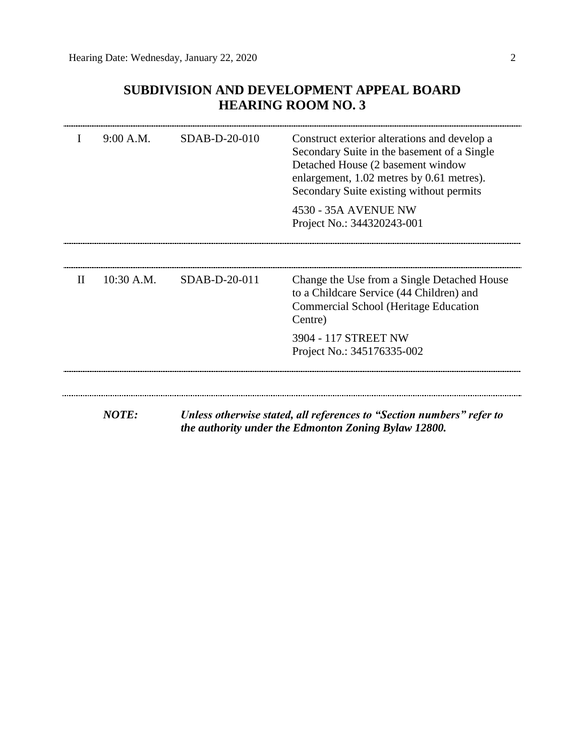## **SUBDIVISION AND DEVELOPMENT APPEAL BOARD HEARING ROOM NO. 3**

|              | 9:00 A.M.    | SDAB-D-20-010                                                                                                                 | Construct exterior alterations and develop a<br>Secondary Suite in the basement of a Single<br>Detached House (2 basement window<br>enlargement, 1.02 metres by 0.61 metres).<br>Secondary Suite existing without permits<br>4530 - 35A AVENUE NW<br>Project No.: 344320243-001 |  |  |  |
|--------------|--------------|-------------------------------------------------------------------------------------------------------------------------------|---------------------------------------------------------------------------------------------------------------------------------------------------------------------------------------------------------------------------------------------------------------------------------|--|--|--|
| $\mathbf{H}$ | $10:30$ A.M. | SDAB-D-20-011                                                                                                                 | Change the Use from a Single Detached House<br>to a Childcare Service (44 Children) and                                                                                                                                                                                         |  |  |  |
|              |              |                                                                                                                               | Commercial School (Heritage Education<br>Centre)                                                                                                                                                                                                                                |  |  |  |
|              |              |                                                                                                                               | 3904 - 117 STREET NW<br>Project No.: 345176335-002                                                                                                                                                                                                                              |  |  |  |
|              |              |                                                                                                                               |                                                                                                                                                                                                                                                                                 |  |  |  |
|              | <b>NOTE:</b> | Unless otherwise stated, all references to "Section numbers" refer to<br>the authority under the Edmonton Zoning Bylaw 12800. |                                                                                                                                                                                                                                                                                 |  |  |  |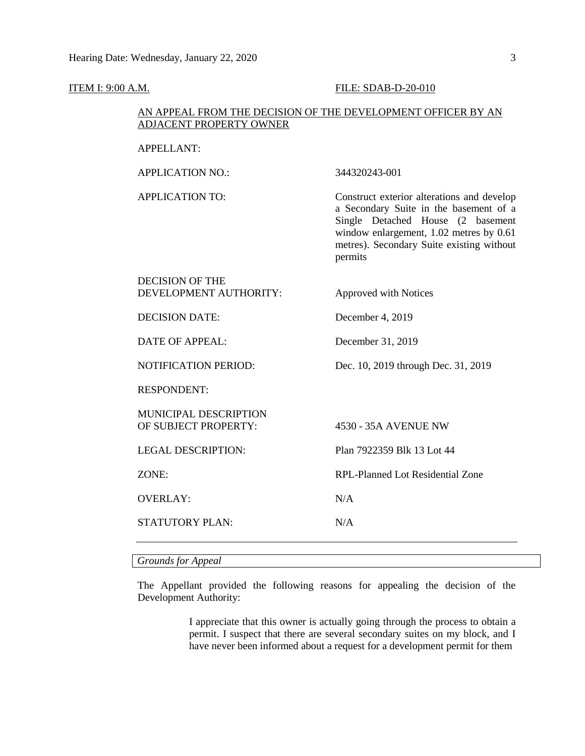#### **ITEM I: 9:00 A.M. FILE: SDAB-D-20-010**

#### AN APPEAL FROM THE DECISION OF THE DEVELOPMENT OFFICER BY AN ADJACENT PROPERTY OWNER

#### APPELLANT:

APPLICATION NO.: 344320243-001 APPLICATION TO: Construct exterior alterations and develop a Secondary Suite in the basement of a Single Detached House (2 basement window enlargement, 1.02 metres by 0.61 metres). Secondary Suite existing without permits DECISION OF THE DEVELOPMENT AUTHORITY: Approved with Notices

DECISION DATE: December 4, 2019

DATE OF APPEAL: December 31, 2019

NOTIFICATION PERIOD: Dec. 10, 2019 through Dec. 31, 2019

RESPONDENT:

MUNICIPAL DESCRIPTION OF SUBJECT PROPERTY: 4530 - 35A AVENUE NW

LEGAL DESCRIPTION: Plan 7922359 Blk 13 Lot 44

ZONE: RPL-Planned Lot Residential Zone

OVERLAY: N/A

STATUTORY PLAN: N/A

*Grounds for Appeal*

The Appellant provided the following reasons for appealing the decision of the Development Authority:

> I appreciate that this owner is actually going through the process to obtain a permit. I suspect that there are several secondary suites on my block, and I have never been informed about a request for a development permit for them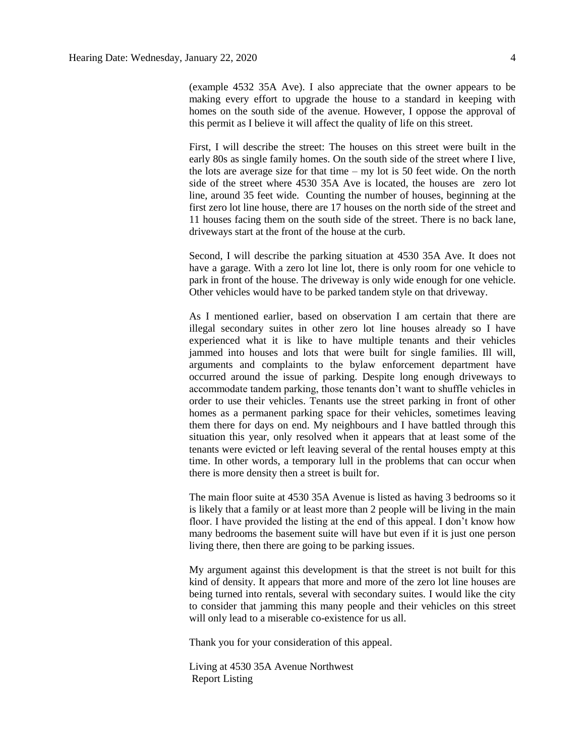(example 4532 35A Ave). I also appreciate that the owner appears to be making every effort to upgrade the house to a standard in keeping with homes on the south side of the avenue. However, I oppose the approval of this permit as I believe it will affect the quality of life on this street.

First, I will describe the street: The houses on this street were built in the early 80s as single family homes. On the south side of the street where I live, the lots are average size for that time – my lot is 50 feet wide. On the north side of the street where 4530 35A Ave is located, the houses are zero lot line, around 35 feet wide. Counting the number of houses, beginning at the first zero lot line house, there are 17 houses on the north side of the street and 11 houses facing them on the south side of the street. There is no back lane, driveways start at the front of the house at the curb.

Second, I will describe the parking situation at 4530 35A Ave. It does not have a garage. With a zero lot line lot, there is only room for one vehicle to park in front of the house. The driveway is only wide enough for one vehicle. Other vehicles would have to be parked tandem style on that driveway.

As I mentioned earlier, based on observation I am certain that there are illegal secondary suites in other zero lot line houses already so I have experienced what it is like to have multiple tenants and their vehicles jammed into houses and lots that were built for single families. Ill will, arguments and complaints to the bylaw enforcement department have occurred around the issue of parking. Despite long enough driveways to accommodate tandem parking, those tenants don't want to shuffle vehicles in order to use their vehicles. Tenants use the street parking in front of other homes as a permanent parking space for their vehicles, sometimes leaving them there for days on end. My neighbours and I have battled through this situation this year, only resolved when it appears that at least some of the tenants were evicted or left leaving several of the rental houses empty at this time. In other words, a temporary lull in the problems that can occur when there is more density then a street is built for.

The main floor suite at 4530 35A Avenue is listed as having 3 bedrooms so it is likely that a family or at least more than 2 people will be living in the main floor. I have provided the listing at the end of this appeal. I don't know how many bedrooms the basement suite will have but even if it is just one person living there, then there are going to be parking issues.

My argument against this development is that the street is not built for this kind of density. It appears that more and more of the zero lot line houses are being turned into rentals, several with secondary suites. I would like the city to consider that jamming this many people and their vehicles on this street will only lead to a miserable co-existence for us all.

Thank you for your consideration of this appeal.

Living at 4530 35A Avenue Northwest Report Listing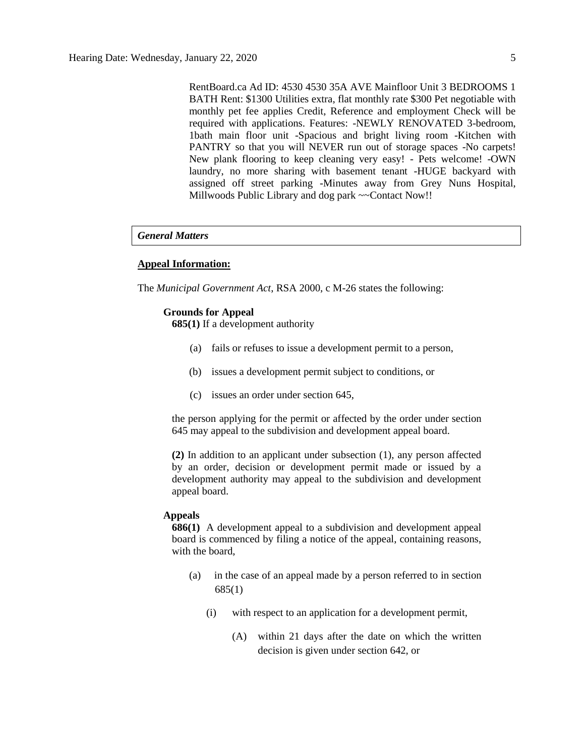RentBoard.ca Ad ID: 4530 4530 35A AVE Mainfloor Unit 3 BEDROOMS 1 BATH Rent: \$1300 Utilities extra, flat monthly rate \$300 Pet negotiable with monthly pet fee applies Credit, Reference and employment Check will be required with applications. Features: -NEWLY RENOVATED 3-bedroom, 1bath main floor unit -Spacious and bright living room -Kitchen with PANTRY so that you will NEVER run out of storage spaces -No carpets! New plank flooring to keep cleaning very easy! - Pets welcome! -OWN laundry, no more sharing with basement tenant -HUGE backyard with assigned off street parking -Minutes away from Grey Nuns Hospital, Millwoods Public Library and dog park ~~Contact Now!!

#### *General Matters*

#### **Appeal Information:**

The *Municipal Government Act*, RSA 2000, c M-26 states the following:

#### **Grounds for Appeal**

**685(1)** If a development authority

- (a) fails or refuses to issue a development permit to a person,
- (b) issues a development permit subject to conditions, or
- (c) issues an order under section 645,

the person applying for the permit or affected by the order under section 645 may appeal to the subdivision and development appeal board.

**(2)** In addition to an applicant under subsection (1), any person affected by an order, decision or development permit made or issued by a development authority may appeal to the subdivision and development appeal board.

#### **Appeals**

**686(1)** A development appeal to a subdivision and development appeal board is commenced by filing a notice of the appeal, containing reasons, with the board,

- (a) in the case of an appeal made by a person referred to in section 685(1)
	- (i) with respect to an application for a development permit,
		- (A) within 21 days after the date on which the written decision is given under section 642, or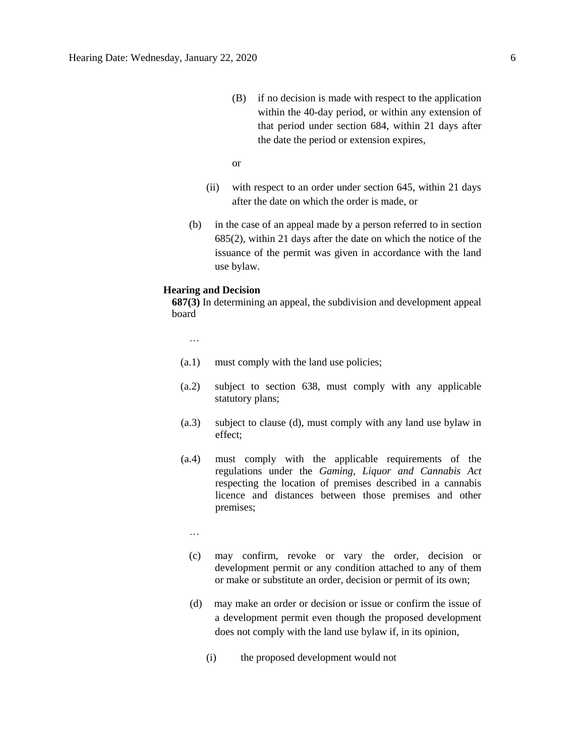(B) if no decision is made with respect to the application within the 40-day period, or within any extension of that period under section 684, within 21 days after the date the period or extension expires,

or

- (ii) with respect to an order under section 645, within 21 days after the date on which the order is made, or
- (b) in the case of an appeal made by a person referred to in section 685(2), within 21 days after the date on which the notice of the issuance of the permit was given in accordance with the land use bylaw.

#### **Hearing and Decision**

**687(3)** In determining an appeal, the subdivision and development appeal board

…

- (a.1) must comply with the land use policies;
- (a.2) subject to section 638, must comply with any applicable statutory plans;
- (a.3) subject to clause (d), must comply with any land use bylaw in effect;
- (a.4) must comply with the applicable requirements of the regulations under the *Gaming, Liquor and Cannabis Act* respecting the location of premises described in a cannabis licence and distances between those premises and other premises;
	- …
	- (c) may confirm, revoke or vary the order, decision or development permit or any condition attached to any of them or make or substitute an order, decision or permit of its own;
	- (d) may make an order or decision or issue or confirm the issue of a development permit even though the proposed development does not comply with the land use bylaw if, in its opinion,
		- (i) the proposed development would not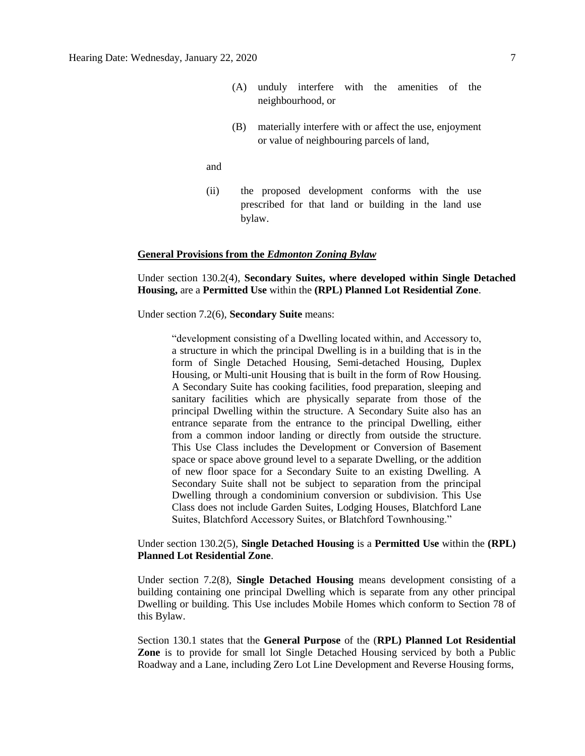- (A) unduly interfere with the amenities of the neighbourhood, or
- (B) materially interfere with or affect the use, enjoyment or value of neighbouring parcels of land,

and

(ii) the proposed development conforms with the use prescribed for that land or building in the land use bylaw.

#### **General Provisions from the** *Edmonton Zoning Bylaw*

Under section 130.2(4), **Secondary Suites, where developed within Single Detached Housing,** are a **Permitted Use** within the **(RPL) Planned Lot Residential Zone**.

Under section 7.2(6), **Secondary Suite** means:

"development consisting of a Dwelling located within, and Accessory to, a structure in which the principal Dwelling is in a building that is in the form of Single Detached Housing, Semi-detached Housing, Duplex Housing, or Multi-unit Housing that is built in the form of Row Housing. A Secondary Suite has cooking facilities, food preparation, sleeping and sanitary facilities which are physically separate from those of the principal Dwelling within the structure. A Secondary Suite also has an entrance separate from the entrance to the principal Dwelling, either from a common indoor landing or directly from outside the structure. This Use Class includes the Development or Conversion of Basement space or space above ground level to a separate Dwelling, or the addition of new floor space for a Secondary Suite to an existing Dwelling. A Secondary Suite shall not be subject to separation from the principal Dwelling through a condominium conversion or subdivision. This Use Class does not include Garden Suites, Lodging Houses, Blatchford Lane Suites, Blatchford Accessory Suites, or Blatchford Townhousing."

#### Under section 130.2(5), **Single Detached Housing** is a **Permitted Use** within the **(RPL) Planned Lot Residential Zone**.

Under section 7.2(8), **Single Detached Housing** means development consisting of a building containing one principal Dwelling which is separate from any other principal Dwelling or building. This Use includes Mobile Homes which conform to Section 78 of this Bylaw.

Section 130.1 states that the **General Purpose** of the (**RPL) Planned Lot Residential Zone** is to provide for small lot Single Detached Housing serviced by both a Public Roadway and a Lane, including Zero Lot Line Development and Reverse Housing forms,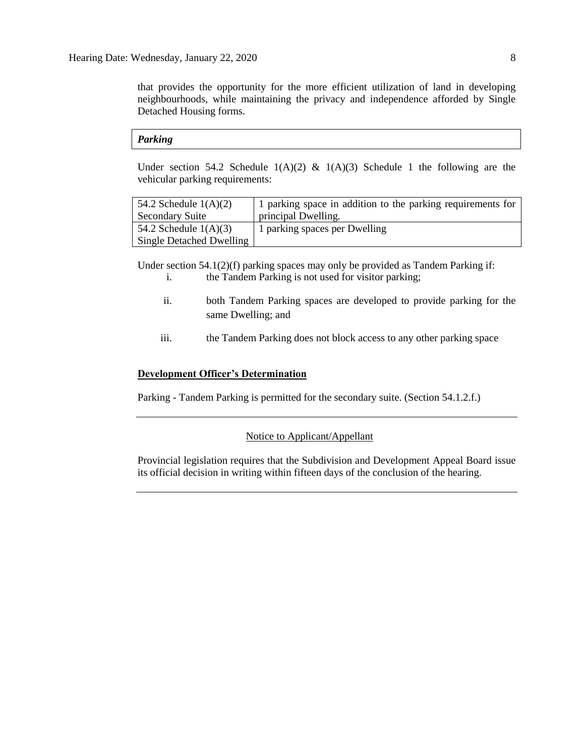that provides the opportunity for the more efficient utilization of land in developing neighbourhoods, while maintaining the privacy and independence afforded by Single Detached Housing forms.

#### *Parking*

Under section 54.2 Schedule  $1(A)(2)$  &  $1(A)(3)$  Schedule 1 the following are the vehicular parking requirements:

| 54.2 Schedule $1(A)(2)$  | 1 parking space in addition to the parking requirements for |
|--------------------------|-------------------------------------------------------------|
| <b>Secondary Suite</b>   | principal Dwelling.                                         |
| 54.2 Schedule $1(A)(3)$  | 1 parking spaces per Dwelling                               |
| Single Detached Dwelling |                                                             |

Under section  $54.1(2)(f)$  parking spaces may only be provided as Tandem Parking if: i. the Tandem Parking is not used for visitor parking;

- ii. both Tandem Parking spaces are developed to provide parking for the same Dwelling; and
- iii. the Tandem Parking does not block access to any other parking space

#### **Development Officer's Determination**

Parking - Tandem Parking is permitted for the secondary suite. (Section 54.1.2.f.)

#### Notice to Applicant/Appellant

Provincial legislation requires that the Subdivision and Development Appeal Board issue its official decision in writing within fifteen days of the conclusion of the hearing.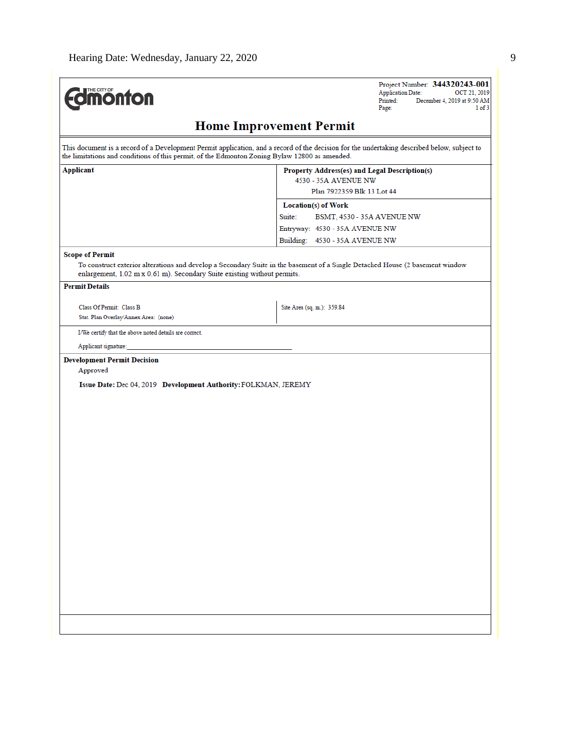| <b>Jmonton</b>                                                                                                    | Project Number: 344320243-001<br><b>Application Date:</b><br>OCT 21, 2019<br>December 4, 2019 at 9:50 AM<br>Printed:                        |  |  |  |
|-------------------------------------------------------------------------------------------------------------------|---------------------------------------------------------------------------------------------------------------------------------------------|--|--|--|
|                                                                                                                   | Page:<br>1 of 3                                                                                                                             |  |  |  |
|                                                                                                                   | <b>Home Improvement Permit</b>                                                                                                              |  |  |  |
| the limitations and conditions of this permit, of the Edmonton Zoning Bylaw 12800 as amended.                     | This document is a record of a Development Permit application, and a record of the decision for the undertaking described below, subject to |  |  |  |
| <b>Applicant</b>                                                                                                  | Property Address(es) and Legal Description(s)<br>4530 - 35A AVENUE NW                                                                       |  |  |  |
|                                                                                                                   | Plan 7922359 Blk 13 Lot 44                                                                                                                  |  |  |  |
|                                                                                                                   | Location(s) of Work                                                                                                                         |  |  |  |
|                                                                                                                   | Suite:<br>BSMT, 4530 - 35A AVENUE NW                                                                                                        |  |  |  |
|                                                                                                                   | Entryway: 4530 - 35A AVENUE NW                                                                                                              |  |  |  |
|                                                                                                                   | Building: 4530 - 35A AVENUE NW                                                                                                              |  |  |  |
| <b>Scope of Permit</b>                                                                                            |                                                                                                                                             |  |  |  |
| enlargement, 1.02 m x 0.61 m). Secondary Suite existing without permits.                                          | To construct exterior alterations and develop a Secondary Suite in the basement of a Single Detached House (2 basement window               |  |  |  |
| <b>Permit Details</b>                                                                                             |                                                                                                                                             |  |  |  |
| Class Of Permit: Class B                                                                                          | Site Area (sq. m.): 359.84                                                                                                                  |  |  |  |
| Stat. Plan Overlay/Annex Area: (none)                                                                             |                                                                                                                                             |  |  |  |
| I/We certify that the above noted details are correct.                                                            |                                                                                                                                             |  |  |  |
| Applicant signature:                                                                                              |                                                                                                                                             |  |  |  |
| <b>Development Permit Decision</b><br>Approved<br>Issue Date: Dec 04, 2019 Development Authority: FOLKMAN, JEREMY |                                                                                                                                             |  |  |  |
|                                                                                                                   |                                                                                                                                             |  |  |  |
|                                                                                                                   |                                                                                                                                             |  |  |  |
|                                                                                                                   |                                                                                                                                             |  |  |  |
|                                                                                                                   |                                                                                                                                             |  |  |  |
|                                                                                                                   |                                                                                                                                             |  |  |  |
|                                                                                                                   |                                                                                                                                             |  |  |  |
|                                                                                                                   |                                                                                                                                             |  |  |  |
|                                                                                                                   |                                                                                                                                             |  |  |  |
|                                                                                                                   |                                                                                                                                             |  |  |  |
|                                                                                                                   |                                                                                                                                             |  |  |  |
|                                                                                                                   |                                                                                                                                             |  |  |  |
|                                                                                                                   |                                                                                                                                             |  |  |  |
|                                                                                                                   |                                                                                                                                             |  |  |  |
|                                                                                                                   |                                                                                                                                             |  |  |  |
|                                                                                                                   |                                                                                                                                             |  |  |  |
|                                                                                                                   |                                                                                                                                             |  |  |  |
|                                                                                                                   |                                                                                                                                             |  |  |  |
|                                                                                                                   |                                                                                                                                             |  |  |  |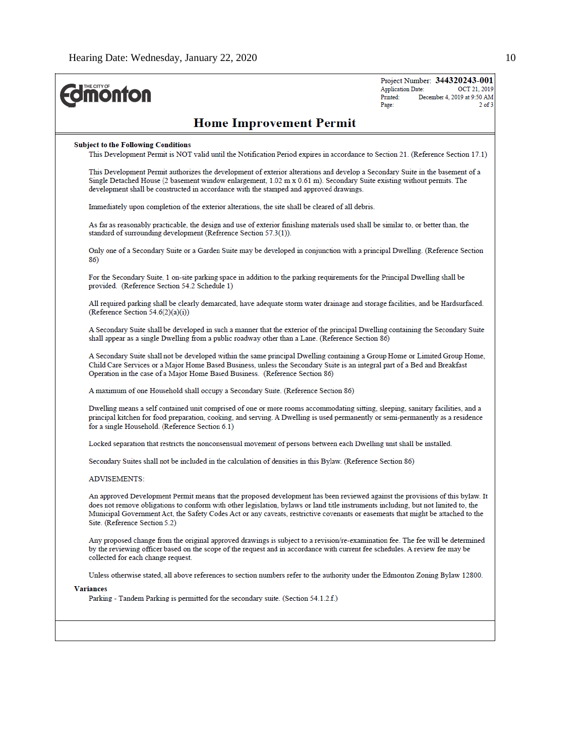| <b><i><u><u><b>Monton</b></u></u></i></b>                                                                                                                                                                                                                                                                                                                                                                                               | Project Number: 344320243-001<br><b>Application Date:</b><br>OCT 21, 2019<br>December 4, 2019 at 9:50 AM<br>Printed:<br>$2$ of $3$<br>Page: |
|-----------------------------------------------------------------------------------------------------------------------------------------------------------------------------------------------------------------------------------------------------------------------------------------------------------------------------------------------------------------------------------------------------------------------------------------|---------------------------------------------------------------------------------------------------------------------------------------------|
| <b>Home Improvement Permit</b>                                                                                                                                                                                                                                                                                                                                                                                                          |                                                                                                                                             |
| <b>Subject to the Following Conditions</b><br>This Development Permit is NOT valid until the Notification Period expires in accordance to Section 21. (Reference Section 17.1)                                                                                                                                                                                                                                                          |                                                                                                                                             |
| This Development Permit authorizes the development of exterior alterations and develop a Secondary Suite in the basement of a<br>Single Detached House (2 basement window enlargement, 1.02 m x 0.61 m). Secondary Suite existing without permits. The<br>development shall be constructed in accordance with the stamped and approved drawings.                                                                                        |                                                                                                                                             |
| Immediately upon completion of the exterior alterations, the site shall be cleared of all debris.                                                                                                                                                                                                                                                                                                                                       |                                                                                                                                             |
| As far as reasonably practicable, the design and use of exterior finishing materials used shall be similar to, or better than, the<br>standard of surrounding development (Reference Section 57.3(1)).                                                                                                                                                                                                                                  |                                                                                                                                             |
| Only one of a Secondary Suite or a Garden Suite may be developed in conjunction with a principal Dwelling. (Reference Section<br>86)                                                                                                                                                                                                                                                                                                    |                                                                                                                                             |
| For the Secondary Suite, 1 on-site parking space in addition to the parking requirements for the Principal Dwelling shall be<br>provided. (Reference Section 54.2 Schedule 1)                                                                                                                                                                                                                                                           |                                                                                                                                             |
| All required parking shall be clearly demarcated, have adequate storm water drainage and storage facilities, and be Hardsurfaced.<br>(Reference Section 54.6(2)(a)(i))                                                                                                                                                                                                                                                                  |                                                                                                                                             |
| A Secondary Suite shall be developed in such a manner that the exterior of the principal Dwelling containing the Secondary Suite<br>shall appear as a single Dwelling from a public roadway other than a Lane. (Reference Section 86)                                                                                                                                                                                                   |                                                                                                                                             |
| A Secondary Suite shall not be developed within the same principal Dwelling containing a Group Home or Limited Group Home,<br>Child Care Services or a Major Home Based Business, unless the Secondary Suite is an integral part of a Bed and Breakfast<br>Operation in the case of a Major Home Based Business. (Reference Section 86)                                                                                                 |                                                                                                                                             |
| A maximum of one Household shall occupy a Secondary Suite. (Reference Section 86)                                                                                                                                                                                                                                                                                                                                                       |                                                                                                                                             |
| Dwelling means a self contained unit comprised of one or more rooms accommodating sitting, sleeping, sanitary facilities, and a<br>principal kitchen for food preparation, cooking, and serving. A Dwelling is used permanently or semi-permanently as a residence<br>for a single Household. (Reference Section 6.1)                                                                                                                   |                                                                                                                                             |
| Locked separation that restricts the nonconsensual movement of persons between each Dwelling unit shall be installed.                                                                                                                                                                                                                                                                                                                   |                                                                                                                                             |
| Secondary Suites shall not be included in the calculation of densities in this Bylaw. (Reference Section 86)                                                                                                                                                                                                                                                                                                                            |                                                                                                                                             |
| <b>ADVISEMENTS:</b>                                                                                                                                                                                                                                                                                                                                                                                                                     |                                                                                                                                             |
| An approved Development Permit means that the proposed development has been reviewed against the provisions of this bylaw. It<br>does not remove obligations to conform with other legislation, bylaws or land title instruments including, but not limited to, the<br>Municipal Government Act, the Safety Codes Act or any caveats, restrictive covenants or easements that might be attached to the<br>Site. (Reference Section 5.2) |                                                                                                                                             |
| Any proposed change from the original approved drawings is subject to a revision/re-examination fee. The fee will be determined<br>by the reviewing officer based on the scope of the request and in accordance with current fee schedules. A review fee may be<br>collected for each change request.                                                                                                                                   |                                                                                                                                             |
| Unless otherwise stated, all above references to section numbers refer to the authority under the Edmonton Zoning Bylaw 12800.                                                                                                                                                                                                                                                                                                          |                                                                                                                                             |
| Variances<br>Parking - Tandem Parking is permitted for the secondary suite. (Section 54.1.2.f.)                                                                                                                                                                                                                                                                                                                                         |                                                                                                                                             |
|                                                                                                                                                                                                                                                                                                                                                                                                                                         |                                                                                                                                             |
|                                                                                                                                                                                                                                                                                                                                                                                                                                         |                                                                                                                                             |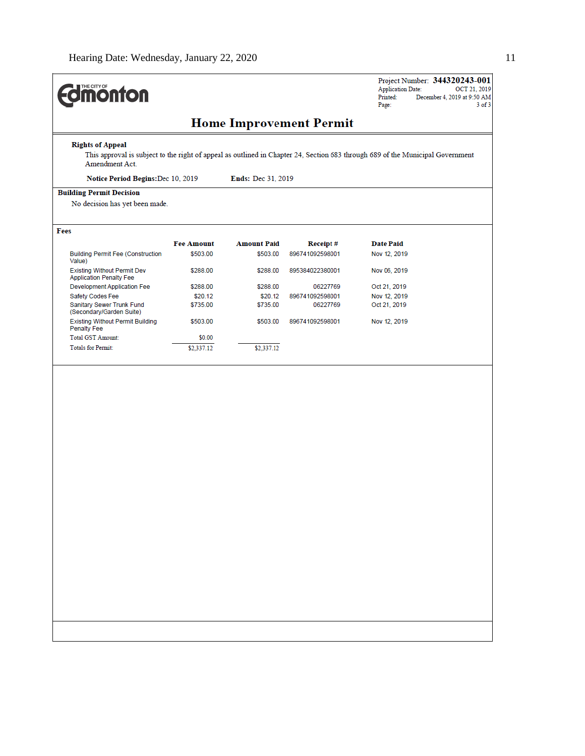| THE CITY OF<br><b>ionfon</b>                                         |                   |                    |                                | Project Number: 344320243-001<br><b>Application Date:</b><br>OCT 21, 2019<br>Printed:<br>December 4, 2019 at 9:50 AM<br>$3$ of $3$<br>Page: |
|----------------------------------------------------------------------|-------------------|--------------------|--------------------------------|---------------------------------------------------------------------------------------------------------------------------------------------|
|                                                                      |                   |                    | <b>Home Improvement Permit</b> |                                                                                                                                             |
| <b>Rights of Appeal</b>                                              |                   |                    |                                | This approval is subject to the right of appeal as outlined in Chapter 24, Section 683 through 689 of the Municipal Government              |
| Amendment Act.                                                       |                   |                    |                                |                                                                                                                                             |
| Notice Period Begins: Dec 10, 2019                                   |                   | Ends: Dec 31, 2019 |                                |                                                                                                                                             |
| <b>Building Permit Decision</b><br>No decision has yet been made.    |                   |                    |                                |                                                                                                                                             |
|                                                                      |                   |                    |                                |                                                                                                                                             |
| Fees                                                                 |                   |                    |                                |                                                                                                                                             |
|                                                                      | <b>Fee Amount</b> | <b>Amount Paid</b> | Receipt#                       | <b>Date Paid</b>                                                                                                                            |
| <b>Building Permit Fee (Construction</b><br>Value)                   | \$503.00          | \$503.00           | 896741092598001                | Nov 12, 2019                                                                                                                                |
| <b>Existing Without Permit Dev</b><br><b>Application Penalty Fee</b> | \$288.00          | \$288.00           | 895384022380001                | Nov 06, 2019                                                                                                                                |
| Development Application Fee                                          | \$288.00          | \$288.00           | 06227769                       | Oct 21, 2019                                                                                                                                |
| Safety Codes Fee                                                     | \$20.12           | \$20.12            | 896741092598001                | Nov 12, 2019                                                                                                                                |
| Sanitary Sewer Trunk Fund<br>(Secondary/Garden Suite)                | \$735.00          | \$735.00           | 06227769                       | Oct 21, 2019                                                                                                                                |
| <b>Existing Without Permit Building</b><br><b>Penalty Fee</b>        | \$503.00          | \$503.00           | 896741092598001                | Nov 12, 2019                                                                                                                                |
| Total GST Amount:                                                    | \$0.00            |                    |                                |                                                                                                                                             |
|                                                                      |                   |                    |                                |                                                                                                                                             |
|                                                                      |                   |                    |                                |                                                                                                                                             |

H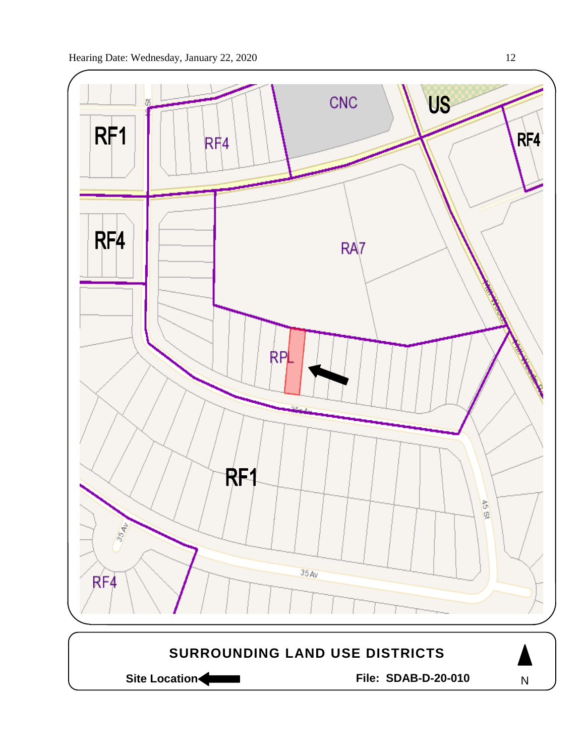

Site Location **Community Contracts** File: SDAB-D-20-010

N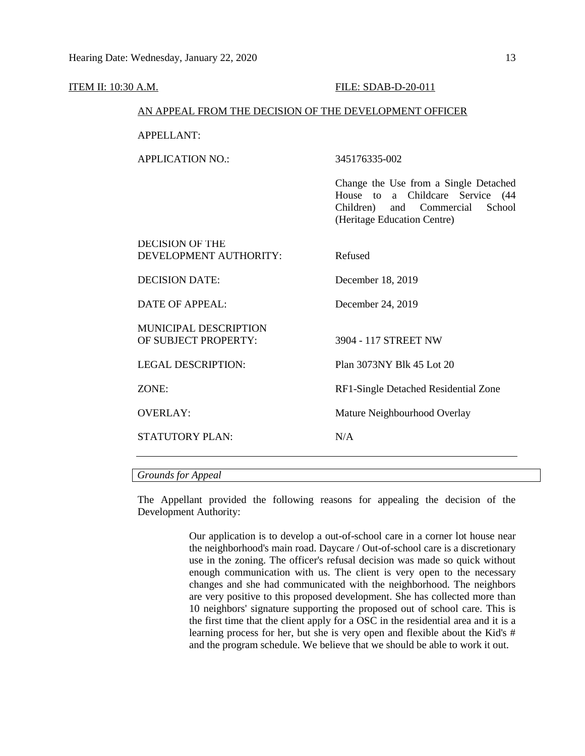| ITEM II: 10:30 A.M. |                                                        | FILE: SDAB-D-20-011                                                                                                                            |  |  |  |
|---------------------|--------------------------------------------------------|------------------------------------------------------------------------------------------------------------------------------------------------|--|--|--|
|                     | AN APPEAL FROM THE DECISION OF THE DEVELOPMENT OFFICER |                                                                                                                                                |  |  |  |
|                     | <b>APPELLANT:</b>                                      |                                                                                                                                                |  |  |  |
|                     | <b>APPLICATION NO.:</b>                                | 345176335-002                                                                                                                                  |  |  |  |
|                     |                                                        | Change the Use from a Single Detached<br>House to a Childcare Service (44<br>School<br>Children) and Commercial<br>(Heritage Education Centre) |  |  |  |
|                     | <b>DECISION OF THE</b><br>DEVELOPMENT AUTHORITY:       | Refused                                                                                                                                        |  |  |  |
|                     | <b>DECISION DATE:</b>                                  | December 18, 2019                                                                                                                              |  |  |  |
|                     | <b>DATE OF APPEAL:</b>                                 | December 24, 2019                                                                                                                              |  |  |  |
|                     | MUNICIPAL DESCRIPTION<br>OF SUBJECT PROPERTY:          | 3904 - 117 STREET NW                                                                                                                           |  |  |  |
|                     | <b>LEGAL DESCRIPTION:</b>                              | Plan 3073NY Blk 45 Lot 20                                                                                                                      |  |  |  |
|                     | ZONE:                                                  | RF1-Single Detached Residential Zone                                                                                                           |  |  |  |
|                     | <b>OVERLAY:</b>                                        | Mature Neighbourhood Overlay                                                                                                                   |  |  |  |
|                     | <b>STATUTORY PLAN:</b>                                 | N/A                                                                                                                                            |  |  |  |
|                     |                                                        |                                                                                                                                                |  |  |  |

### *Grounds for Appeal*

The Appellant provided the following reasons for appealing the decision of the Development Authority:

> Our application is to develop a out-of-school care in a corner lot house near the neighborhood's main road. Daycare / Out-of-school care is a discretionary use in the zoning. The officer's refusal decision was made so quick without enough communication with us. The client is very open to the necessary changes and she had communicated with the neighborhood. The neighbors are very positive to this proposed development. She has collected more than 10 neighbors' signature supporting the proposed out of school care. This is the first time that the client apply for a OSC in the residential area and it is a learning process for her, but she is very open and flexible about the Kid's # and the program schedule. We believe that we should be able to work it out.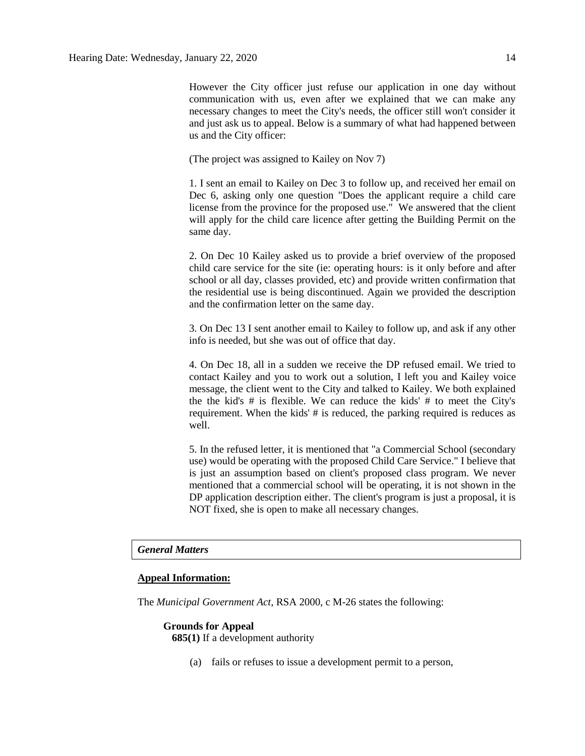However the City officer just refuse our application in one day without communication with us, even after we explained that we can make any necessary changes to meet the City's needs, the officer still won't consider it and just ask us to appeal. Below is a summary of what had happened between us and the City officer:

(The project was assigned to Kailey on Nov 7)

1. I sent an email to Kailey on Dec 3 to follow up, and received her email on Dec 6, asking only one question "Does the applicant require a child care license from the province for the proposed use." We answered that the client will apply for the child care licence after getting the Building Permit on the same day.

2. On Dec 10 Kailey asked us to provide a brief overview of the proposed child care service for the site (ie: operating hours: is it only before and after school or all day, classes provided, etc) and provide written confirmation that the residential use is being discontinued. Again we provided the description and the confirmation letter on the same day.

3. On Dec 13 I sent another email to Kailey to follow up, and ask if any other info is needed, but she was out of office that day.

4. On Dec 18, all in a sudden we receive the DP refused email. We tried to contact Kailey and you to work out a solution, I left you and Kailey voice message, the client went to the City and talked to Kailey. We both explained the the kid's # is flexible. We can reduce the kids' # to meet the City's requirement. When the kids' # is reduced, the parking required is reduces as well.

5. In the refused letter, it is mentioned that "a Commercial School (secondary use) would be operating with the proposed Child Care Service." I believe that is just an assumption based on client's proposed class program. We never mentioned that a commercial school will be operating, it is not shown in the DP application description either. The client's program is just a proposal, it is NOT fixed, she is open to make all necessary changes.

#### *General Matters*

#### **Appeal Information:**

The *Municipal Government Act*, RSA 2000, c M-26 states the following:

#### **Grounds for Appeal 685(1)** If a development authority

(a) fails or refuses to issue a development permit to a person,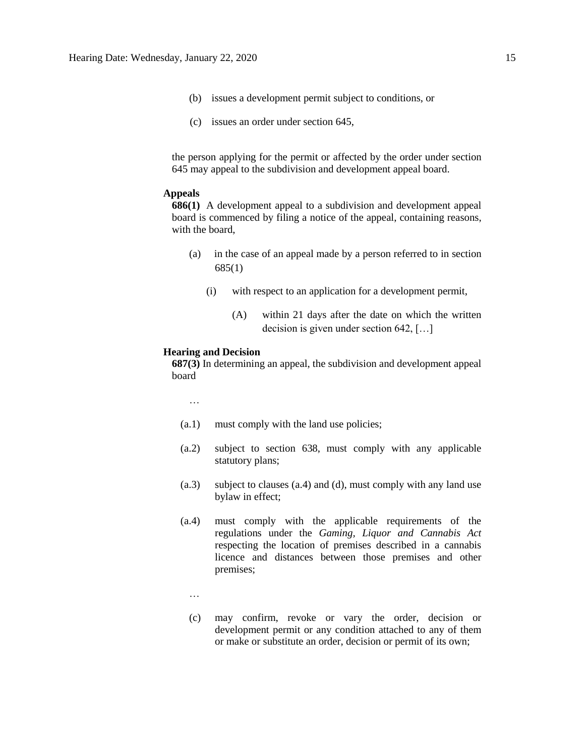- (b) issues a development permit subject to conditions, or
- (c) issues an order under section 645,

the person applying for the permit or affected by the order under section 645 may appeal to the subdivision and development appeal board.

#### **Appeals**

**686(1)** A development appeal to a subdivision and development appeal board is commenced by filing a notice of the appeal, containing reasons, with the board,

- (a) in the case of an appeal made by a person referred to in section 685(1)
	- (i) with respect to an application for a development permit,
		- (A) within 21 days after the date on which the written decision is given under section 642, […]

#### **Hearing and Decision**

**687(3)** In determining an appeal, the subdivision and development appeal board

…

- (a.1) must comply with the land use policies;
- (a.2) subject to section 638, must comply with any applicable statutory plans;
- (a.3) subject to clauses (a.4) and (d), must comply with any land use bylaw in effect;
- (a.4) must comply with the applicable requirements of the regulations under the *Gaming, Liquor and Cannabis Act* respecting the location of premises described in a cannabis licence and distances between those premises and other premises;
	- …
	- (c) may confirm, revoke or vary the order, decision or development permit or any condition attached to any of them or make or substitute an order, decision or permit of its own;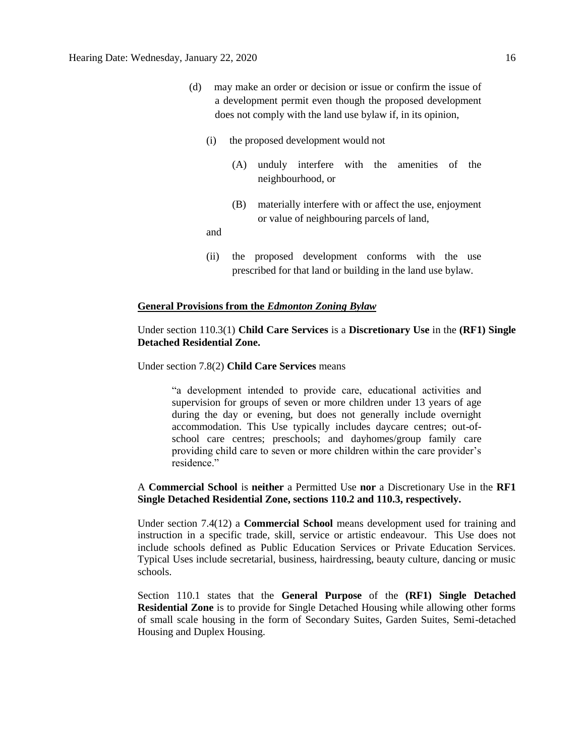- (d) may make an order or decision or issue or confirm the issue of a development permit even though the proposed development does not comply with the land use bylaw if, in its opinion,
	- (i) the proposed development would not
		- (A) unduly interfere with the amenities of the neighbourhood, or
		- (B) materially interfere with or affect the use, enjoyment or value of neighbouring parcels of land,

and

(ii) the proposed development conforms with the use prescribed for that land or building in the land use bylaw.

#### **General Provisions from the** *Edmonton Zoning Bylaw*

#### Under section 110.3(1) **Child Care Services** is a **Discretionary Use** in the **(RF1) Single Detached Residential Zone.**

#### Under section 7.8(2) **Child Care Services** means

"a development intended to provide care, educational activities and supervision for groups of seven or more children under 13 years of age during the day or evening, but does not generally include overnight accommodation. This Use typically includes daycare centres; out-ofschool care centres; preschools; and dayhomes/group family care providing child care to seven or more children within the care provider's residence."

#### A **Commercial School** is **neither** a Permitted Use **nor** a Discretionary Use in the **RF1 Single Detached Residential Zone, sections 110.2 and 110.3, respectively.**

Under section 7.4(12) a **Commercial School** means development used for training and instruction in a specific trade, skill, service or artistic endeavour. This Use does not include schools defined as Public Education Services or Private Education Services. Typical Uses include secretarial, business, hairdressing, beauty culture, dancing or music schools.

Section 110.1 states that the **General Purpose** of the **(RF1) Single Detached Residential Zone** is to provide for Single Detached Housing while allowing other forms of small scale housing in the form of Secondary Suites, Garden Suites, Semi-detached Housing and Duplex Housing.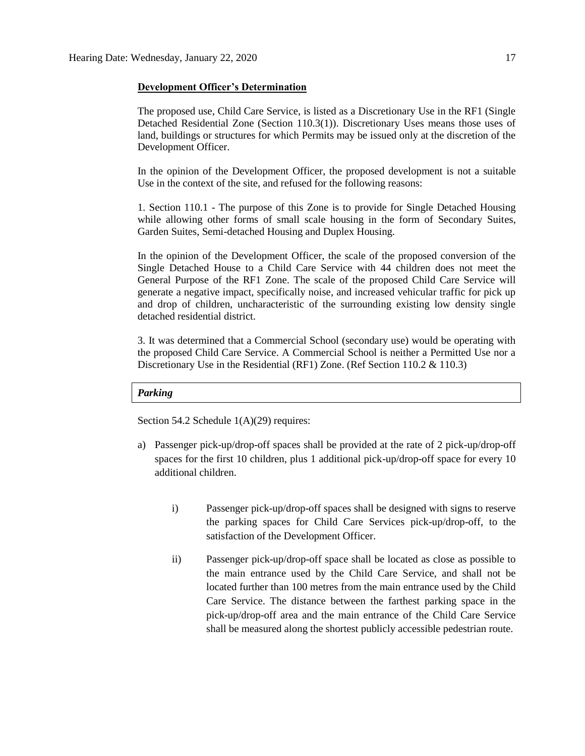#### **Development Officer's Determination**

The proposed use, Child Care Service, is listed as a Discretionary Use in the RF1 (Single Detached Residential Zone (Section 110.3(1)). Discretionary Uses means those uses of land, buildings or structures for which Permits may be issued only at the discretion of the Development Officer.

In the opinion of the Development Officer, the proposed development is not a suitable Use in the context of the site, and refused for the following reasons:

1. Section 110.1 - The purpose of this Zone is to provide for Single Detached Housing while allowing other forms of small scale housing in the form of Secondary Suites, Garden Suites, Semi-detached Housing and Duplex Housing.

In the opinion of the Development Officer, the scale of the proposed conversion of the Single Detached House to a Child Care Service with 44 children does not meet the General Purpose of the RF1 Zone. The scale of the proposed Child Care Service will generate a negative impact, specifically noise, and increased vehicular traffic for pick up and drop of children, uncharacteristic of the surrounding existing low density single detached residential district.

3. It was determined that a Commercial School (secondary use) would be operating with the proposed Child Care Service. A Commercial School is neither a Permitted Use nor a Discretionary Use in the Residential (RF1) Zone. (Ref Section 110.2 & 110.3)

#### *Parking*

Section 54.2 Schedule  $1(A)(29)$  requires:

- a) Passenger pick-up/drop-off spaces shall be provided at the rate of 2 pick-up/drop-off spaces for the first 10 children, plus 1 additional pick-up/drop-off space for every 10 additional children.
	- i) Passenger pick-up/drop-off spaces shall be designed with signs to reserve the parking spaces for Child Care Services pick-up/drop-off, to the satisfaction of the Development Officer.
	- ii) Passenger pick-up/drop-off space shall be located as close as possible to the main entrance used by the Child Care Service, and shall not be located further than 100 metres from the main entrance used by the Child Care Service. The distance between the farthest parking space in the pick-up/drop-off area and the main entrance of the Child Care Service shall be measured along the shortest publicly accessible pedestrian route.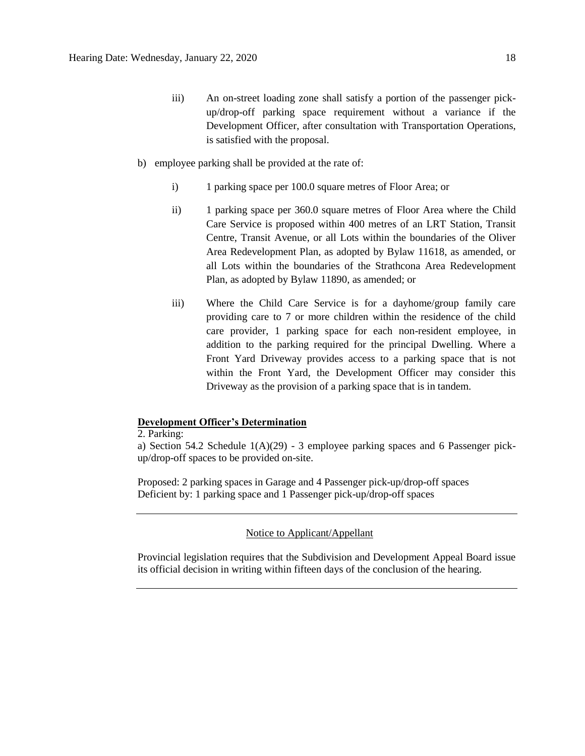- iii) An on-street loading zone shall satisfy a portion of the passenger pickup/drop-off parking space requirement without a variance if the Development Officer, after consultation with Transportation Operations, is satisfied with the proposal.
- b) employee parking shall be provided at the rate of:
	- i) 1 parking space per 100.0 square metres of Floor Area; or
	- ii) 1 parking space per 360.0 square metres of Floor Area where the Child Care Service is proposed within 400 metres of an LRT Station, Transit Centre, Transit Avenue, or all Lots within the boundaries of the Oliver Area Redevelopment Plan, as adopted by Bylaw 11618, as amended, or all Lots within the boundaries of the Strathcona Area Redevelopment Plan, as adopted by Bylaw 11890, as amended; or
	- iii) Where the Child Care Service is for a dayhome/group family care providing care to 7 or more children within the residence of the child care provider, 1 parking space for each non-resident employee, in addition to the parking required for the principal Dwelling. Where a Front Yard Driveway provides access to a parking space that is not within the Front Yard, the Development Officer may consider this Driveway as the provision of a parking space that is in tandem.

#### **Development Officer's Determination**

2. Parking:

a) Section 54.2 Schedule 1(A)(29) - 3 employee parking spaces and 6 Passenger pickup/drop-off spaces to be provided on-site.

Proposed: 2 parking spaces in Garage and 4 Passenger pick-up/drop-off spaces Deficient by: 1 parking space and 1 Passenger pick-up/drop-off spaces

#### Notice to Applicant/Appellant

Provincial legislation requires that the Subdivision and Development Appeal Board issue its official decision in writing within fifteen days of the conclusion of the hearing.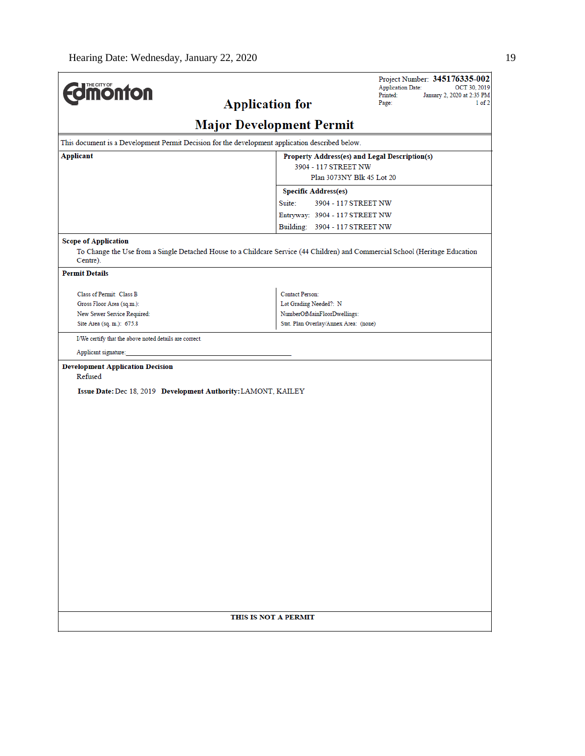$\overline{a}$ 

| <b>dimonton</b>                                                                                                                                                                                   | <b>Application for</b>                                               | Project Number: 345176335-002<br><b>Application Date:</b><br>OCT 30, 2019<br>January 2, 2020 at 2:35 PM<br>Printed:<br>Page:<br>$1$ of $2$ |
|---------------------------------------------------------------------------------------------------------------------------------------------------------------------------------------------------|----------------------------------------------------------------------|--------------------------------------------------------------------------------------------------------------------------------------------|
|                                                                                                                                                                                                   | <b>Major Development Permit</b>                                      |                                                                                                                                            |
| This document is a Development Permit Decision for the development application described below.                                                                                                   |                                                                      |                                                                                                                                            |
| Applicant                                                                                                                                                                                         | 3904 - 117 STREET NW<br>Plan 3073NY Blk 45 Lot 20                    | Property Address(es) and Legal Description(s)                                                                                              |
|                                                                                                                                                                                                   | <b>Specific Address(es)</b>                                          |                                                                                                                                            |
|                                                                                                                                                                                                   | Suite:<br>3904 - 117 STREET NW                                       |                                                                                                                                            |
|                                                                                                                                                                                                   | Entryway: 3904 - 117 STREET NW                                       |                                                                                                                                            |
|                                                                                                                                                                                                   | Building: 3904 - 117 STREET NW                                       |                                                                                                                                            |
| <b>Scope of Application</b><br>To Change the Use from a Single Detached House to a Childcare Service (44 Children) and Commercial School (Heritage Education<br>Centre).<br><b>Permit Details</b> |                                                                      |                                                                                                                                            |
|                                                                                                                                                                                                   |                                                                      |                                                                                                                                            |
| Class of Permit: Class B                                                                                                                                                                          | <b>Contact Person:</b>                                               |                                                                                                                                            |
| Gross Floor Area (sq.m.):                                                                                                                                                                         | Lot Grading Needed?: N                                               |                                                                                                                                            |
| New Sewer Service Required:<br>Site Area (sq. m.): 675.8                                                                                                                                          | NumberOfMainFloorDwellings:<br>Stat. Plan Overlay/Annex Area: (none) |                                                                                                                                            |
|                                                                                                                                                                                                   |                                                                      |                                                                                                                                            |
| I/We certify that the above noted details are correct.<br>Applicant signature:                                                                                                                    |                                                                      |                                                                                                                                            |
| Refused<br>Issue Date: Dec 18, 2019 Development Authority: LAMONT, KAILEY                                                                                                                         |                                                                      |                                                                                                                                            |
|                                                                                                                                                                                                   | THIS IS NOT A PERMIT                                                 |                                                                                                                                            |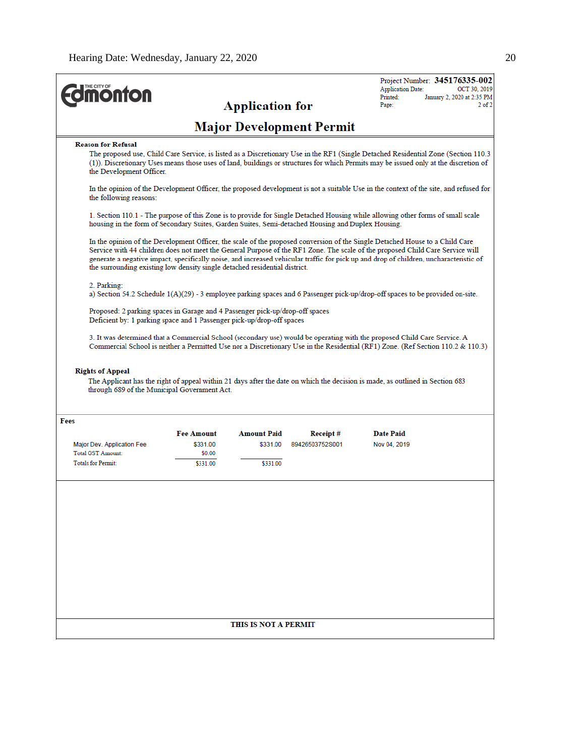| <b><i><u><u><b>MONTON</b></u></u></i></b>                                                                                                             |                                                                                                                                       |                                |                                 | Project Number: 345176335-002<br><b>Application Date:</b><br>OCT 30, 2019                                                                                                                                                                                                                                                                                                                              |  |  |
|-------------------------------------------------------------------------------------------------------------------------------------------------------|---------------------------------------------------------------------------------------------------------------------------------------|--------------------------------|---------------------------------|--------------------------------------------------------------------------------------------------------------------------------------------------------------------------------------------------------------------------------------------------------------------------------------------------------------------------------------------------------------------------------------------------------|--|--|
|                                                                                                                                                       |                                                                                                                                       | <b>Application for</b>         |                                 | Printed:<br>January 2, 2020 at 2:35 PM<br>Page:<br>$2$ of $2$                                                                                                                                                                                                                                                                                                                                          |  |  |
|                                                                                                                                                       |                                                                                                                                       |                                | <b>Major Development Permit</b> |                                                                                                                                                                                                                                                                                                                                                                                                        |  |  |
| <b>Reason for Refusal</b><br>the Development Officer.                                                                                                 |                                                                                                                                       |                                |                                 | The proposed use, Child Care Service, is listed as a Discretionary Use in the RF1 (Single Detached Residential Zone (Section 110.3<br>(1)). Discretionary Uses means those uses of land, buildings or structures for which Permits may be issued only at the discretion of                                                                                                                             |  |  |
| the following reasons:                                                                                                                                | In the opinion of the Development Officer, the proposed development is not a suitable Use in the context of the site, and refused for |                                |                                 |                                                                                                                                                                                                                                                                                                                                                                                                        |  |  |
| housing in the form of Secondary Suites, Garden Suites, Semi-detached Housing and Duplex Housing.                                                     |                                                                                                                                       |                                |                                 | 1. Section 110.1 - The purpose of this Zone is to provide for Single Detached Housing while allowing other forms of small scale                                                                                                                                                                                                                                                                        |  |  |
| the surrounding existing low density single detached residential district.                                                                            |                                                                                                                                       |                                |                                 | In the opinion of the Development Officer, the scale of the proposed conversion of the Single Detached House to a Child Care<br>Service with 44 children does not meet the General Purpose of the RF1 Zone. The scale of the proposed Child Care Service will<br>generate a negative impact, specifically noise, and increased vehicular traffic for pick up and drop of children, uncharacteristic of |  |  |
| 2. Parking:                                                                                                                                           |                                                                                                                                       |                                |                                 | a) Section 54.2 Schedule 1(A)(29) - 3 employee parking spaces and 6 Passenger pick-up/drop-off spaces to be provided on-site.                                                                                                                                                                                                                                                                          |  |  |
| Proposed: 2 parking spaces in Garage and 4 Passenger pick-up/drop-off spaces<br>Deficient by: 1 parking space and 1 Passenger pick-up/drop-off spaces |                                                                                                                                       |                                |                                 |                                                                                                                                                                                                                                                                                                                                                                                                        |  |  |
|                                                                                                                                                       |                                                                                                                                       |                                |                                 | 3. It was determined that a Commercial School (secondary use) would be operating with the proposed Child Care Service. A<br>Commercial School is neither a Permitted Use nor a Discretionary Use in the Residential (RF1) Zone. (Ref Section 110.2 & 110.3)                                                                                                                                            |  |  |
| <b>Rights of Appeal</b><br>through 689 of the Municipal Government Act.                                                                               |                                                                                                                                       |                                |                                 | The Applicant has the right of appeal within 21 days after the date on which the decision is made, as outlined in Section 683                                                                                                                                                                                                                                                                          |  |  |
| Fees                                                                                                                                                  |                                                                                                                                       |                                |                                 |                                                                                                                                                                                                                                                                                                                                                                                                        |  |  |
| Major Dev. Application Fee<br>Total GST Amount:                                                                                                       | <b>Fee Amount</b><br>\$331.00<br>\$0.00                                                                                               | <b>Amount Paid</b><br>\$331.00 | Receipt#<br>89426503752S001     | <b>Date Paid</b><br>Nov 04, 2019                                                                                                                                                                                                                                                                                                                                                                       |  |  |
| <b>Totals for Permit:</b>                                                                                                                             | \$331.00                                                                                                                              | \$331.00                       |                                 |                                                                                                                                                                                                                                                                                                                                                                                                        |  |  |
|                                                                                                                                                       |                                                                                                                                       |                                |                                 |                                                                                                                                                                                                                                                                                                                                                                                                        |  |  |
|                                                                                                                                                       |                                                                                                                                       | THIS IS NOT A PERMIT           |                                 |                                                                                                                                                                                                                                                                                                                                                                                                        |  |  |